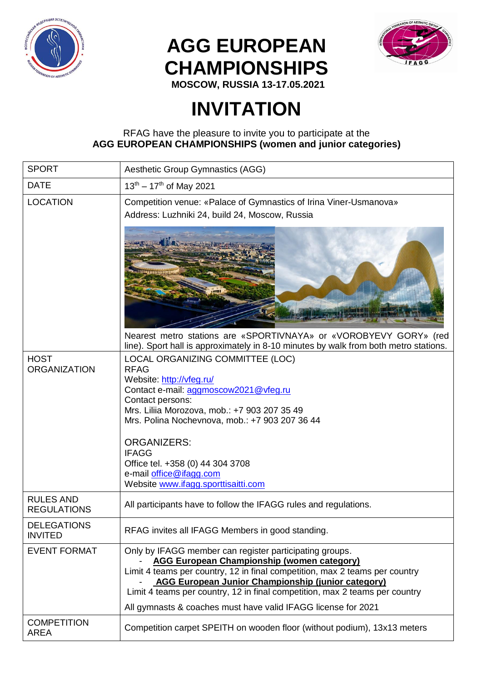

## **AGG EUROPEAN CHAMPIONSHIPS**



**MOSCOW, RUSSIA 13-17.05.2021**

## **INVITATION**

## RFAG have the pleasure to invite you to participate at the **AGG EUROPEAN CHAMPIONSHIPS (women and junior categories)**

| <b>SPORT</b>                           | Aesthetic Group Gymnastics (AGG)                                                                                                                                                                                                                                                                                                                                                                         |  |  |
|----------------------------------------|----------------------------------------------------------------------------------------------------------------------------------------------------------------------------------------------------------------------------------------------------------------------------------------------------------------------------------------------------------------------------------------------------------|--|--|
| <b>DATE</b>                            | $13^{th} - 17^{th}$ of May 2021                                                                                                                                                                                                                                                                                                                                                                          |  |  |
| <b>LOCATION</b>                        | Competition venue: «Palace of Gymnastics of Irina Viner-Usmanova»<br>Address: Luzhniki 24, build 24, Moscow, Russia                                                                                                                                                                                                                                                                                      |  |  |
|                                        |                                                                                                                                                                                                                                                                                                                                                                                                          |  |  |
|                                        | Nearest metro stations are «SPORTIVNAYA» or «VOROBYEVY GORY» (red<br>line). Sport hall is approximately in 8-10 minutes by walk from both metro stations.                                                                                                                                                                                                                                                |  |  |
| <b>HOST</b><br><b>ORGANIZATION</b>     | LOCAL ORGANIZING COMMITTEE (LOC)<br><b>RFAG</b><br>Website: http://vfeg.ru/<br>Contact e-mail: aggmoscow2021@vfeg.ru<br>Contact persons:<br>Mrs. Liliia Morozova, mob.: +7 903 207 35 49<br>Mrs. Polina Nochevnova, mob.: +7 903 207 36 44<br><b>ORGANIZERS:</b><br><b>IFAGG</b><br>Office tel. +358 (0) 44 304 3708                                                                                     |  |  |
|                                        | e-mail office@ifagg.com<br>Website www.ifagg.sporttisaitti.com                                                                                                                                                                                                                                                                                                                                           |  |  |
| <b>RULES AND</b><br><b>REGULATIONS</b> | All participants have to follow the IFAGG rules and regulations.                                                                                                                                                                                                                                                                                                                                         |  |  |
| <b>DELEGATIONS</b><br><b>INVITED</b>   | RFAG invites all IFAGG Members in good standing.                                                                                                                                                                                                                                                                                                                                                         |  |  |
| <b>EVENT FORMAT</b>                    | Only by IFAGG member can register participating groups.<br><b>AGG European Championship (women category)</b><br>Limit 4 teams per country, 12 in final competition, max 2 teams per country<br><b>AGG European Junior Championship (junior category)</b><br>Limit 4 teams per country, 12 in final competition, max 2 teams per country<br>All gymnasts & coaches must have valid IFAGG license for 2021 |  |  |
| <b>COMPETITION</b><br><b>AREA</b>      | Competition carpet SPEITH on wooden floor (without podium), 13x13 meters                                                                                                                                                                                                                                                                                                                                 |  |  |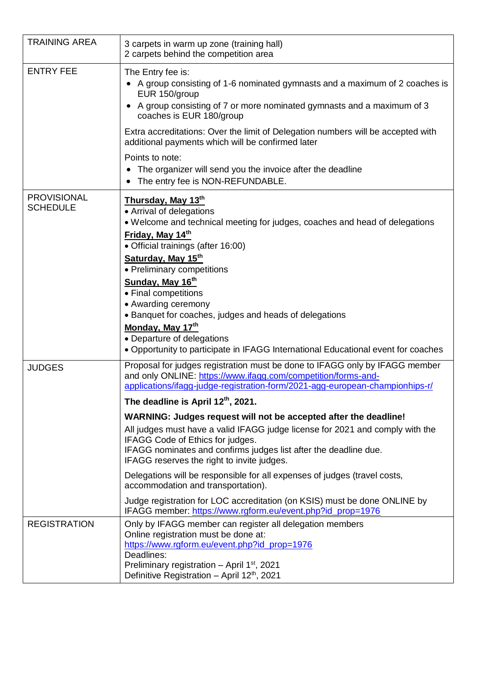| <b>TRAINING AREA</b>                  | 3 carpets in warm up zone (training hall)<br>2 carpets behind the competition area                                                                                                                                                                                                                                                                                                                                                                                                                                                                                                                                                                                                                                                                                                                                                         |
|---------------------------------------|--------------------------------------------------------------------------------------------------------------------------------------------------------------------------------------------------------------------------------------------------------------------------------------------------------------------------------------------------------------------------------------------------------------------------------------------------------------------------------------------------------------------------------------------------------------------------------------------------------------------------------------------------------------------------------------------------------------------------------------------------------------------------------------------------------------------------------------------|
| <b>ENTRY FEE</b>                      | The Entry fee is:<br>• A group consisting of 1-6 nominated gymnasts and a maximum of 2 coaches is<br>EUR 150/group<br>• A group consisting of 7 or more nominated gymnasts and a maximum of 3<br>coaches is EUR 180/group<br>Extra accreditations: Over the limit of Delegation numbers will be accepted with<br>additional payments which will be confirmed later<br>Points to note:                                                                                                                                                                                                                                                                                                                                                                                                                                                      |
|                                       | The organizer will send you the invoice after the deadline<br>$\bullet$<br>The entry fee is NON-REFUNDABLE.<br>$\bullet$                                                                                                                                                                                                                                                                                                                                                                                                                                                                                                                                                                                                                                                                                                                   |
| <b>PROVISIONAL</b><br><b>SCHEDULE</b> | Thursday, May 13th<br>• Arrival of delegations<br>• Welcome and technical meeting for judges, coaches and head of delegations<br>Friday, May 14th<br>• Official trainings (after 16:00)<br>Saturday, May 15th<br>• Preliminary competitions<br>Sunday, May 16th<br>• Final competitions<br>• Awarding ceremony<br>• Banquet for coaches, judges and heads of delegations<br>Monday, May 17th<br>• Departure of delegations<br>. Opportunity to participate in IFAGG International Educational event for coaches                                                                                                                                                                                                                                                                                                                            |
| <b>JUDGES</b>                         | Proposal for judges registration must be done to IFAGG only by IFAGG member<br>and only ONLINE: https://www.ifagg.com/competition/forms-and-<br>applications/ifagg-judge-registration-form/2021-agg-european-championhips-r/<br>The deadline is April 12th, 2021.<br>WARNING: Judges request will not be accepted after the deadline!<br>All judges must have a valid IFAGG judge license for 2021 and comply with the<br>IFAGG Code of Ethics for judges.<br>IFAGG nominates and confirms judges list after the deadline due.<br>IFAGG reserves the right to invite judges.<br>Delegations will be responsible for all expenses of judges (travel costs,<br>accommodation and transportation).<br>Judge registration for LOC accreditation (on KSIS) must be done ONLINE by<br>IFAGG member: https://www.rgform.eu/event.php?id_prop=1976 |
| <b>REGISTRATION</b>                   | Only by IFAGG member can register all delegation members<br>Online registration must be done at:<br>https://www.rgform.eu/event.php?id_prop=1976<br>Deadlines:<br>Preliminary registration - April 1 <sup>st</sup> , 2021<br>Definitive Registration - April 12 <sup>th</sup> , 2021                                                                                                                                                                                                                                                                                                                                                                                                                                                                                                                                                       |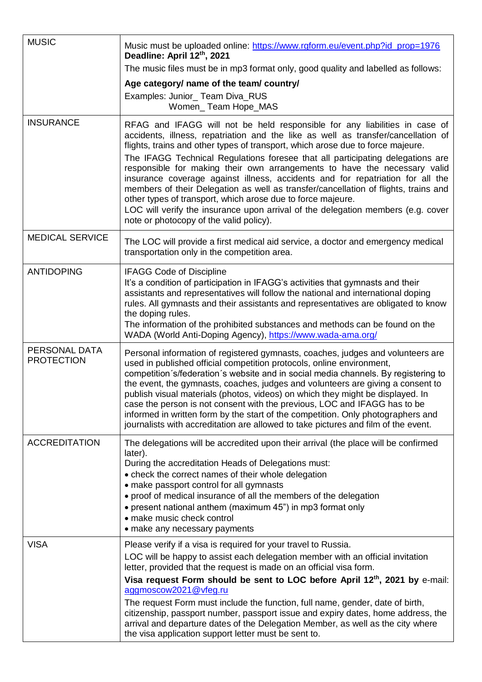| <b>MUSIC</b>                       | Music must be uploaded online: https://www.rgform.eu/event.php?id_prop=1976<br>Deadline: April 12th, 2021                                                                                                                                                                                                                                                                                                                                                                                                                                                                                                                                                                                                                                                                                |  |  |
|------------------------------------|------------------------------------------------------------------------------------------------------------------------------------------------------------------------------------------------------------------------------------------------------------------------------------------------------------------------------------------------------------------------------------------------------------------------------------------------------------------------------------------------------------------------------------------------------------------------------------------------------------------------------------------------------------------------------------------------------------------------------------------------------------------------------------------|--|--|
|                                    | The music files must be in mp3 format only, good quality and labelled as follows:                                                                                                                                                                                                                                                                                                                                                                                                                                                                                                                                                                                                                                                                                                        |  |  |
|                                    | Age category/ name of the team/ country/                                                                                                                                                                                                                                                                                                                                                                                                                                                                                                                                                                                                                                                                                                                                                 |  |  |
|                                    | Examples: Junior_ Team Diva_RUS<br>Women_Team Hope_MAS                                                                                                                                                                                                                                                                                                                                                                                                                                                                                                                                                                                                                                                                                                                                   |  |  |
| <b>INSURANCE</b>                   | RFAG and IFAGG will not be held responsible for any liabilities in case of<br>accidents, illness, repatriation and the like as well as transfer/cancellation of<br>flights, trains and other types of transport, which arose due to force majeure.<br>The IFAGG Technical Regulations foresee that all participating delegations are<br>responsible for making their own arrangements to have the necessary valid<br>insurance coverage against illness, accidents and for repatriation for all the<br>members of their Delegation as well as transfer/cancellation of flights, trains and<br>other types of transport, which arose due to force majeure.<br>LOC will verify the insurance upon arrival of the delegation members (e.g. cover<br>note or photocopy of the valid policy). |  |  |
| <b>MEDICAL SERVICE</b>             | The LOC will provide a first medical aid service, a doctor and emergency medical<br>transportation only in the competition area.                                                                                                                                                                                                                                                                                                                                                                                                                                                                                                                                                                                                                                                         |  |  |
| <b>ANTIDOPING</b>                  | <b>IFAGG Code of Discipline</b><br>It's a condition of participation in IFAGG's activities that gymnasts and their<br>assistants and representatives will follow the national and international doping<br>rules. All gymnasts and their assistants and representatives are obligated to know<br>the doping rules.<br>The information of the prohibited substances and methods can be found on the<br>WADA (World Anti-Doping Agency), https://www.wada-ama.org/                                                                                                                                                                                                                                                                                                                          |  |  |
| PERSONAL DATA<br><b>PROTECTION</b> | Personal information of registered gymnasts, coaches, judges and volunteers are<br>used in published official competition protocols, online environment,<br>competition s/federation s website and in social media channels. By registering to<br>the event, the gymnasts, coaches, judges and volunteers are giving a consent to<br>publish visual materials (photos, videos) on which they might be displayed. In<br>case the person is not consent with the previous, LOC and IFAGG has to be<br>informed in written form by the start of the competition. Only photographers and<br>journalists with accreditation are allowed to take pictures and film of the event.                                                                                                               |  |  |
| <b>ACCREDITATION</b>               | The delegations will be accredited upon their arrival (the place will be confirmed<br>later).<br>During the accreditation Heads of Delegations must:<br>• check the correct names of their whole delegation<br>• make passport control for all gymnasts<br>• proof of medical insurance of all the members of the delegation<br>• present national anthem (maximum 45") in mp3 format only<br>• make music check control<br>• make any necessary payments                                                                                                                                                                                                                                                                                                                                |  |  |
| <b>VISA</b>                        | Please verify if a visa is required for your travel to Russia.<br>LOC will be happy to assist each delegation member with an official invitation<br>letter, provided that the request is made on an official visa form.                                                                                                                                                                                                                                                                                                                                                                                                                                                                                                                                                                  |  |  |
|                                    | Visa request Form should be sent to LOC before April 12th, 2021 by e-mail:<br>aggmoscow2021@vfeg.ru<br>The request Form must include the function, full name, gender, date of birth,<br>citizenship, passport number, passport issue and expiry dates, home address, the<br>arrival and departure dates of the Delegation Member, as well as the city where<br>the visa application support letter must be sent to.                                                                                                                                                                                                                                                                                                                                                                      |  |  |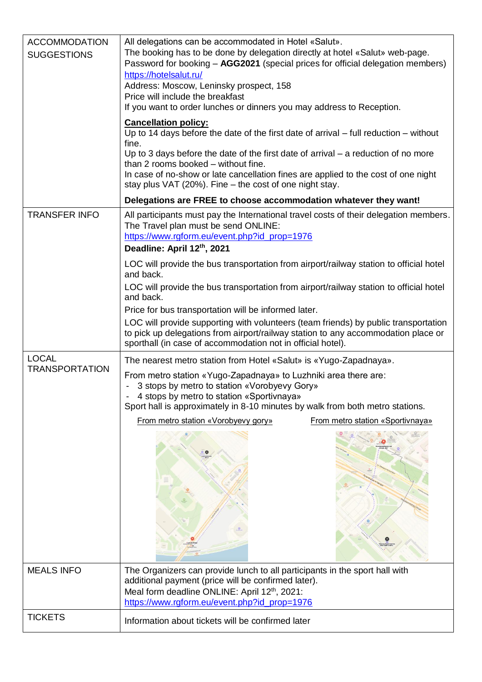| <b>ACCOMMODATION</b><br><b>SUGGESTIONS</b> | All delegations can be accommodated in Hotel «Salut».<br>The booking has to be done by delegation directly at hotel «Salut» web-page.<br>Password for booking - AGG2021 (special prices for official delegation members)<br>https://hotelsalut.ru/<br>Address: Moscow, Leninsky prospect, 158<br>Price will include the breakfast<br>If you want to order lunches or dinners you may address to Reception.        |  |  |
|--------------------------------------------|-------------------------------------------------------------------------------------------------------------------------------------------------------------------------------------------------------------------------------------------------------------------------------------------------------------------------------------------------------------------------------------------------------------------|--|--|
|                                            | <b>Cancellation policy:</b><br>Up to 14 days before the date of the first date of arrival $-$ full reduction $-$ without<br>fine.<br>Up to 3 days before the date of the first date of arrival $-$ a reduction of no more<br>than 2 rooms booked - without fine.<br>In case of no-show or late cancellation fines are applied to the cost of one night<br>stay plus VAT (20%). Fine – the cost of one night stay. |  |  |
|                                            | Delegations are FREE to choose accommodation whatever they want!                                                                                                                                                                                                                                                                                                                                                  |  |  |
| <b>TRANSFER INFO</b>                       | All participants must pay the International travel costs of their delegation members.<br>The Travel plan must be send ONLINE:<br>https://www.rgform.eu/event.php?id_prop=1976<br>Deadline: April 12th, 2021                                                                                                                                                                                                       |  |  |
|                                            | LOC will provide the bus transportation from airport/railway station to official hotel<br>and back.                                                                                                                                                                                                                                                                                                               |  |  |
|                                            | LOC will provide the bus transportation from airport/railway station to official hotel<br>and back.<br>Price for bus transportation will be informed later.                                                                                                                                                                                                                                                       |  |  |
|                                            | LOC will provide supporting with volunteers (team friends) by public transportation<br>to pick up delegations from airport/railway station to any accommodation place or<br>sporthall (in case of accommodation not in official hotel).                                                                                                                                                                           |  |  |
| <b>LOCAL</b>                               | The nearest metro station from Hotel «Salut» is «Yugo-Zapadnaya».                                                                                                                                                                                                                                                                                                                                                 |  |  |
| <b>TRANSPORTATION</b>                      | From metro station «Yugo-Zapadnaya» to Luzhniki area there are:<br>3 stops by metro to station «Vorobyevy Gory»<br>$\blacksquare$<br>- 4 stops by metro to station «Sportivnaya»<br>Sport hall is approximately in 8-10 minutes by walk from both metro stations.                                                                                                                                                 |  |  |
|                                            | From metro station «Vorobyevy gory»<br>From metro station «Sportivnaya»                                                                                                                                                                                                                                                                                                                                           |  |  |
| <b>MEALS INFO</b>                          | The Organizers can provide lunch to all participants in the sport hall with                                                                                                                                                                                                                                                                                                                                       |  |  |
|                                            | additional payment (price will be confirmed later).<br>Meal form deadline ONLINE: April 12th, 2021:<br>https://www.rgform.eu/event.php?id_prop=1976                                                                                                                                                                                                                                                               |  |  |
| <b>TICKETS</b>                             | Information about tickets will be confirmed later                                                                                                                                                                                                                                                                                                                                                                 |  |  |